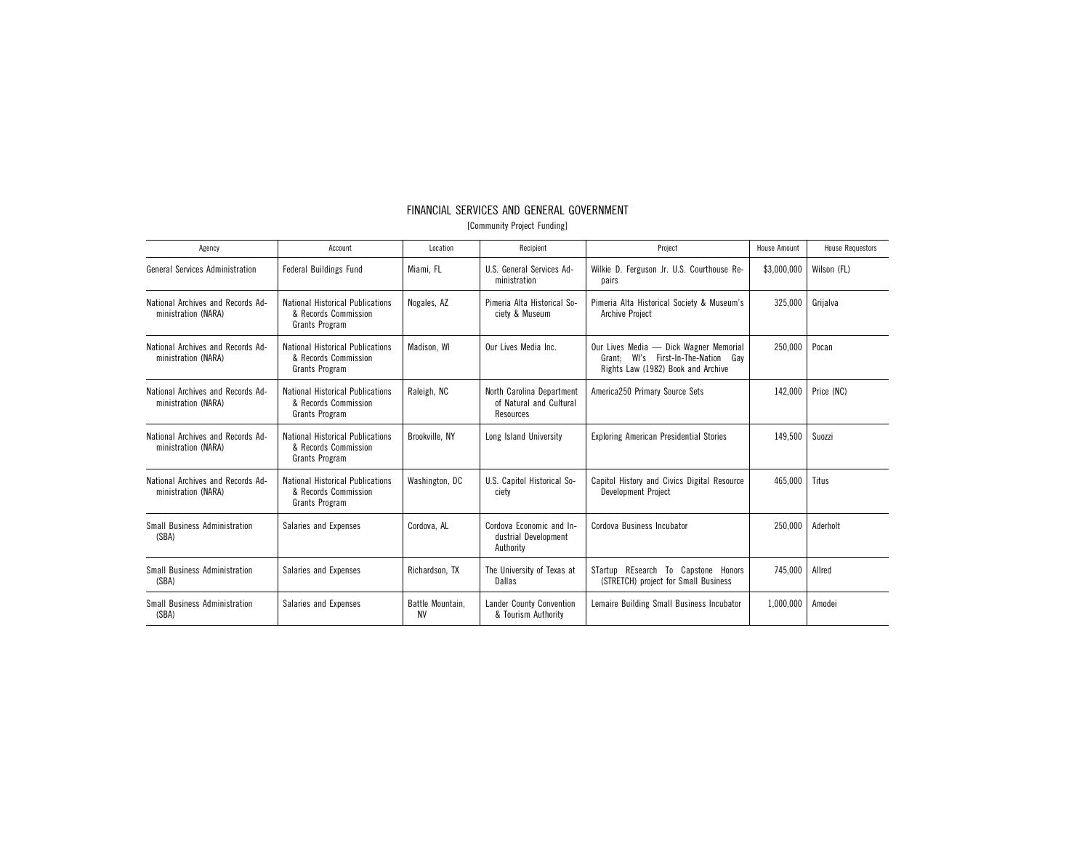## FINANCIAL SERVICES AND GENERAL GOVERNMENT

[Community Project Funding]

| Agency                                                   | Account                                                                           | Location                      | Recipient                                                         | Project                                                                                                                | <b>House Amount</b> | <b>House Requestors</b> |
|----------------------------------------------------------|-----------------------------------------------------------------------------------|-------------------------------|-------------------------------------------------------------------|------------------------------------------------------------------------------------------------------------------------|---------------------|-------------------------|
| <b>General Services Administration</b>                   | <b>Federal Buildings Fund</b>                                                     | Miami, FL                     | U.S. General Services Ad-<br>ministration                         | Wilkie D. Ferguson Jr. U.S. Courthouse Re-<br>pairs                                                                    | \$3,000,000         | Wilson (FL)             |
| National Archives and Records Ad-<br>ministration (NARA) | <b>National Historical Publications</b><br>& Records Commission<br>Grants Program | Nogales, AZ                   | Pimeria Alta Historical So-<br>ciety & Museum                     | Pimeria Alta Historical Society & Museum's<br>Archive Project                                                          | 325,000             | Grijalva                |
| National Archives and Records Ad-<br>ministration (NARA) | <b>National Historical Publications</b><br>& Records Commission<br>Grants Program | Madison, WI                   | Our Lives Media Inc.                                              | Our Lives Media - Dick Wagner Memorial<br>Grant: WI's First-In-The-Nation<br>Gav<br>Rights Law (1982) Book and Archive | 250.000             | Pocan                   |
| National Archives and Records Ad-<br>ministration (NARA) | <b>National Historical Publications</b><br>& Records Commission<br>Grants Program | Raleigh, NC                   | North Carolina Department<br>of Natural and Cultural<br>Resources | America250 Primary Source Sets                                                                                         | 142,000             | Price (NC)              |
| National Archives and Records Ad-<br>ministration (NARA) | <b>National Historical Publications</b><br>& Records Commission<br>Grants Program | Brookville, NY                | Long Island University                                            | <b>Exploring American Presidential Stories</b>                                                                         | 149,500             | Suozzi                  |
| National Archives and Records Ad-<br>ministration (NARA) | <b>National Historical Publications</b><br>& Records Commission<br>Grants Program | Washington, DC                | U.S. Capitol Historical So-<br>ciety                              | Capitol History and Civics Digital Resource<br>Development Project                                                     | 465,000             | Titus                   |
| <b>Small Business Administration</b><br>(SBA)            | Salaries and Expenses                                                             | Cordova, AL                   | Cordova Economic and In-<br>dustrial Development<br>Authority     | Cordova Business Incubator                                                                                             | 250,000             | Aderholt                |
| Small Business Administration<br>(SBA)                   | Salaries and Expenses                                                             | Richardson, TX                | The University of Texas at<br>Dallas                              | STartup REsearch To Capstone Honors<br>(STRETCH) project for Small Business                                            | 745,000             | Allred                  |
| Small Business Administration<br>(SBA)                   | Salaries and Expenses                                                             | Battle Mountain.<br><b>NV</b> | Lander County Convention<br>& Tourism Authority                   | Lemaire Building Small Business Incubator                                                                              | 1.000.000           | Amodei                  |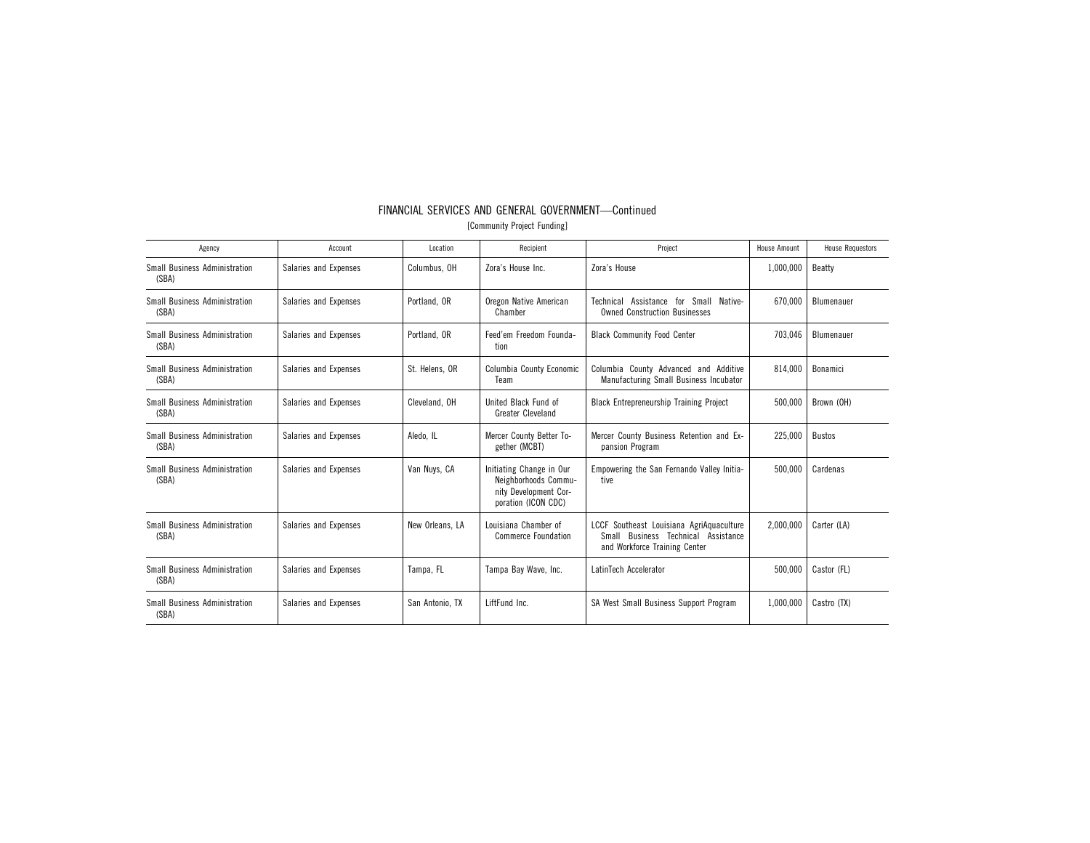| Agency                                        | Account               | Location        | Recipient                                                                                        | Project                                                                                                             | <b>House Amount</b> | <b>House Requestors</b> |
|-----------------------------------------------|-----------------------|-----------------|--------------------------------------------------------------------------------------------------|---------------------------------------------------------------------------------------------------------------------|---------------------|-------------------------|
| <b>Small Business Administration</b><br>(SBA) | Salaries and Expenses | Columbus, OH    | Zora's House Inc.                                                                                | Zora's House                                                                                                        | 1,000,000           | Beatty                  |
| Small Business Administration<br>(SBA)        | Salaries and Expenses | Portland, OR    | Oregon Native American<br>Chamber                                                                | Small<br>Assistance for<br>Native-<br>Technical<br><b>Owned Construction Businesses</b>                             | 670.000             | Blumenauer              |
| Small Business Administration<br>(SBA)        | Salaries and Expenses | Portland, OR    | Feed'em Freedom Founda-<br>tion                                                                  | <b>Black Community Food Center</b>                                                                                  | 703.046             | Blumenauer              |
| <b>Small Business Administration</b><br>(SBA) | Salaries and Expenses | St. Helens, OR  | Columbia County Economic<br>Team                                                                 | Columbia County Advanced and Additive<br>Manufacturing Small Business Incubator                                     | 814,000             | Bonamici                |
| Small Business Administration<br>(SBA)        | Salaries and Expenses | Cleveland, OH   | United Black Fund of<br><b>Greater Cleveland</b>                                                 | <b>Black Entrepreneurship Training Project</b>                                                                      | 500,000             | Brown (OH)              |
| Small Business Administration<br>(SBA)        | Salaries and Expenses | Aledo. IL       | Mercer County Better To-<br>gether (MCBT)                                                        | Mercer County Business Retention and Ex-<br>pansion Program                                                         | 225.000             | <b>Bustos</b>           |
| <b>Small Business Administration</b><br>(SBA) | Salaries and Expenses | Van Nuvs. CA    | Initiating Change in Our<br>Neighborhoods Commu-<br>nity Development Cor-<br>poration (ICON CDC) | Empowering the San Fernando Valley Initia-<br>tive                                                                  | 500.000             | Cardenas                |
| Small Business Administration<br>(SBA)        | Salaries and Expenses | New Orleans, LA | Louisiana Chamber of<br><b>Commerce Foundation</b>                                               | LCCF Southeast Louisiana AgriAquaculture<br>Business Technical Assistance<br>Small<br>and Workforce Training Center | 2,000,000           | Carter (LA)             |
| <b>Small Business Administration</b><br>(SBA) | Salaries and Expenses | Tampa, FL       | Tampa Bay Wave, Inc.                                                                             | LatinTech Accelerator                                                                                               | 500,000             | Castor (FL)             |
| Small Business Administration<br>(SBA)        | Salaries and Expenses | San Antonio, TX | LiftFund Inc.                                                                                    | SA West Small Business Support Program                                                                              | 1.000.000           | Castro (TX)             |

## FINANCIAL SERVICES AND GENERAL GOVERNMENT—Continued [Community Project Funding]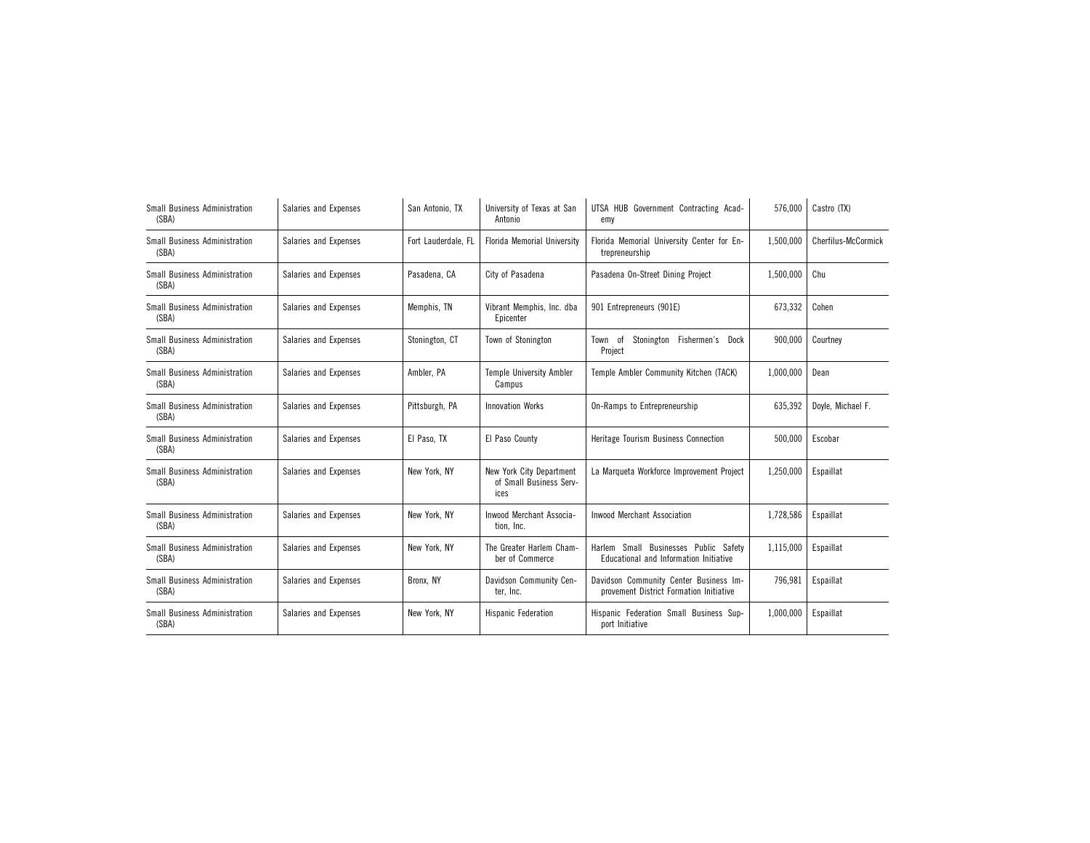| Small Business Administration<br>(SBA)        | Salaries and Expenses | San Antonio, TX     | University of Texas at San<br>Antonio                       | UTSA HUB Government Contracting Acad-<br>emy                                      | 576,000   | Castro (TX)         |
|-----------------------------------------------|-----------------------|---------------------|-------------------------------------------------------------|-----------------------------------------------------------------------------------|-----------|---------------------|
| <b>Small Business Administration</b><br>(SBA) | Salaries and Expenses | Fort Lauderdale, FL | <b>Florida Memorial University</b>                          | Florida Memorial University Center for En-<br>trepreneurship                      | 1,500,000 | Cherfilus-McCormick |
| <b>Small Business Administration</b><br>(SBA) | Salaries and Expenses | Pasadena, CA        | City of Pasadena                                            | Pasadena On-Street Dining Project                                                 | 1,500,000 | Chu                 |
| Small Business Administration<br>(SBA)        | Salaries and Expenses | Memphis, TN         | Vibrant Memphis, Inc. dba<br>Epicenter                      | 901 Entrepreneurs (901E)                                                          | 673,332   | Cohen               |
| Small Business Administration<br>(SBA)        | Salaries and Expenses | Stonington, CT      | Town of Stonington                                          | Stonington Fishermen's<br>Town of<br>Dock<br>Project                              | 900,000   | Courtney            |
| Small Business Administration<br>(SBA)        | Salaries and Expenses | Ambler, PA          | <b>Temple University Ambler</b><br>Campus                   | Temple Ambler Community Kitchen (TACK)                                            | 1,000,000 | Dean                |
| Small Business Administration<br>(SBA)        | Salaries and Expenses | Pittsburgh, PA      | <b>Innovation Works</b>                                     | On-Ramps to Entrepreneurship                                                      | 635,392   | Doyle, Michael F.   |
| <b>Small Business Administration</b><br>(SBA) | Salaries and Expenses | El Paso, TX         | El Paso County                                              | Heritage Tourism Business Connection                                              | 500,000   | Escobar             |
| Small Business Administration<br>(SBA)        | Salaries and Expenses | New York, NY        | New York City Department<br>of Small Business Serv-<br>ices | La Marqueta Workforce Improvement Project                                         | 1,250,000 | Espaillat           |
| <b>Small Business Administration</b><br>(SBA) | Salaries and Expenses | New York, NY        | Inwood Merchant Associa-<br>tion, Inc.                      | <b>Inwood Merchant Association</b>                                                | 1,728,586 | Espaillat           |
| Small Business Administration<br>(SBA)        | Salaries and Expenses | New York, NY        | The Greater Harlem Cham-<br>ber of Commerce                 | Harlem Small Businesses Public Safety<br>Educational and Information Initiative   | 1,115,000 | Espaillat           |
| Small Business Administration<br>(SBA)        | Salaries and Expenses | Bronx, NY           | Davidson Community Cen-<br>ter, Inc.                        | Davidson Community Center Business Im-<br>provement District Formation Initiative | 796,981   | Espaillat           |
| Small Business Administration<br>(SBA)        | Salaries and Expenses | New York, NY        | <b>Hispanic Federation</b>                                  | Hispanic Federation Small Business Sup-<br>port Initiative                        | 1,000,000 | Espaillat           |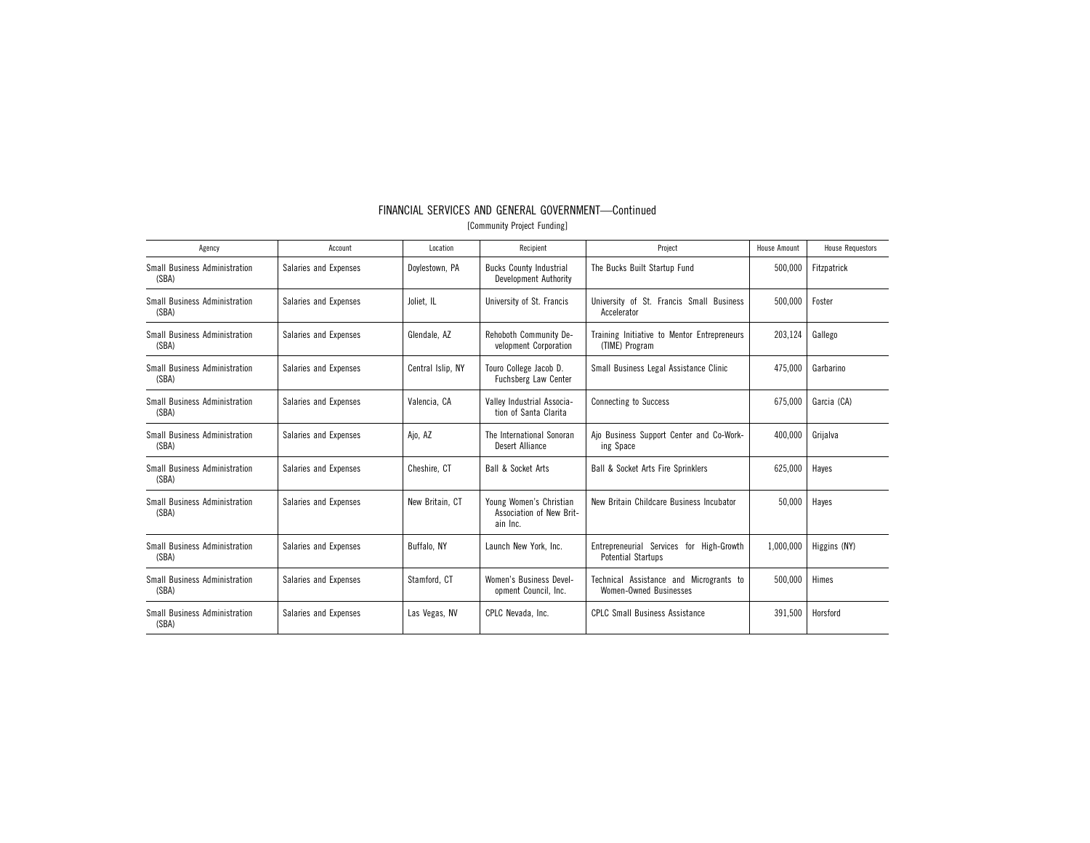| Agency                                        | Account               | Location          | Recipient                                                       | Project                                                               | House Amount | <b>House Requestors</b> |
|-----------------------------------------------|-----------------------|-------------------|-----------------------------------------------------------------|-----------------------------------------------------------------------|--------------|-------------------------|
| Small Business Administration<br>(SBA)        | Salaries and Expenses | Dovlestown, PA    | <b>Bucks County Industrial</b><br>Development Authority         | The Bucks Built Startup Fund                                          | 500,000      | Fitzpatrick             |
| Small Business Administration<br>(SBA)        | Salaries and Expenses | Joliet, IL        | University of St. Francis                                       | University of St. Francis Small Business<br>Accelerator               | 500.000      | Foster                  |
| Small Business Administration<br>(SBA)        | Salaries and Expenses | Glendale, AZ      | Rehoboth Community De-<br>velopment Corporation                 | Training Initiative to Mentor Entrepreneurs<br>(TIME) Program         | 203,124      | Gallego                 |
| Small Business Administration<br>(SBA)        | Salaries and Expenses | Central Islip, NY | Touro College Jacob D.<br>Fuchsberg Law Center                  | Small Business Legal Assistance Clinic                                | 475.000      | Garbarino               |
| Small Business Administration<br>(SBA)        | Salaries and Expenses | Valencia, CA      | Valley Industrial Associa-<br>tion of Santa Clarita             | <b>Connecting to Success</b>                                          | 675.000      | Garcia (CA)             |
| Small Business Administration<br>(SBA)        | Salaries and Expenses | Ajo, AZ           | The International Sonoran<br>Desert Alliance                    | Ajo Business Support Center and Co-Work-<br>ing Space                 | 400,000      | Grijalva                |
| Small Business Administration<br>(SBA)        | Salaries and Expenses | Cheshire, CT      | <b>Ball &amp; Socket Arts</b>                                   | <b>Ball &amp; Socket Arts Fire Sprinklers</b>                         | 625,000      | Hayes                   |
| Small Business Administration<br>(SBA)        | Salaries and Expenses | New Britain, CT   | Young Women's Christian<br>Association of New Brit-<br>ain Inc. | New Britain Childcare Business Incubator                              | 50,000       | Hayes                   |
| Small Business Administration<br>(SBA)        | Salaries and Expenses | Buffalo. NY       | Launch New York, Inc.                                           | Entrepreneurial Services for High-Growth<br><b>Potential Startups</b> | 1,000,000    | Higgins (NY)            |
| <b>Small Business Administration</b><br>(SBA) | Salaries and Expenses | Stamford, CT      | <b>Women's Business Devel-</b><br>opment Council, Inc.          | Technical Assistance and Microgrants to<br>Women-Owned Businesses     | 500,000      | Himes                   |
| Small Business Administration<br>(SBA)        | Salaries and Expenses | Las Vegas, NV     | CPLC Nevada, Inc.                                               | <b>CPLC Small Business Assistance</b>                                 | 391,500      | Horsford                |

## FINANCIAL SERVICES AND GENERAL GOVERNMENT—Continued [Community Project Funding]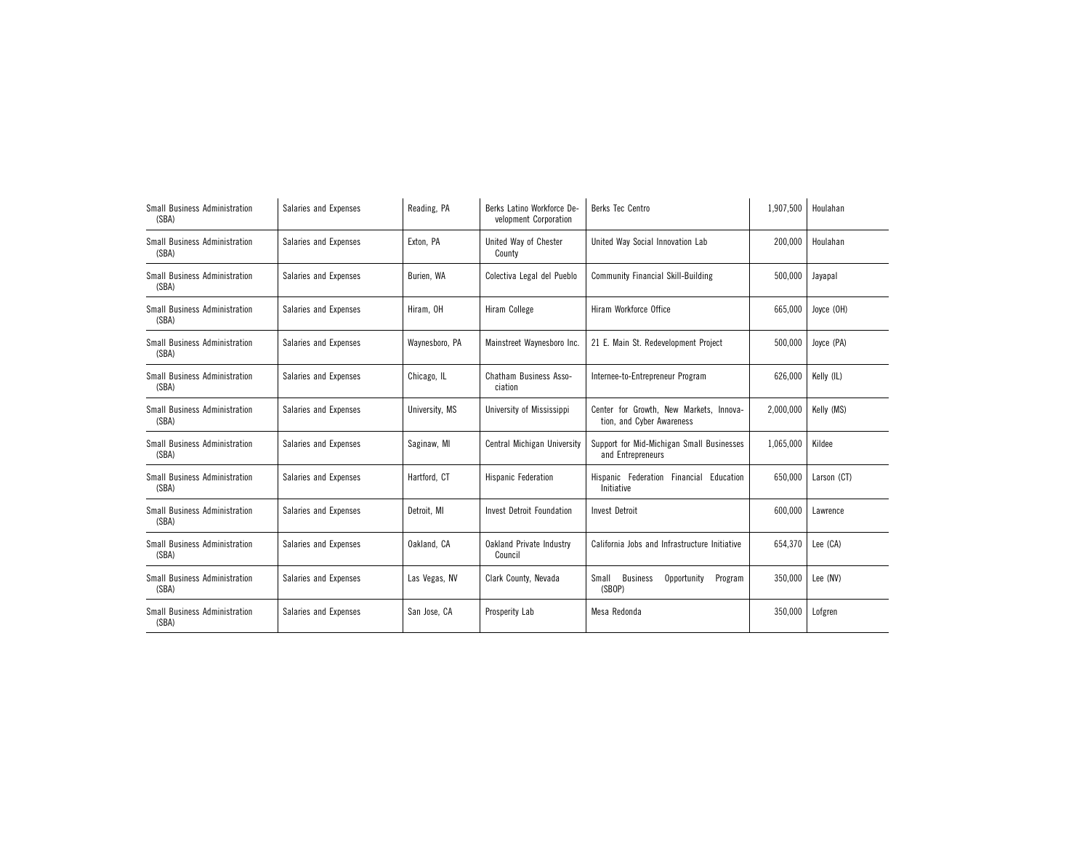| <b>Small Business Administration</b><br>(SBA) | Salaries and Expenses | Reading, PA    | Berks Latino Workforce De-<br>velopment Corporation | Berks Tec Centro                                                     | 1,907,500 | Houlahan    |
|-----------------------------------------------|-----------------------|----------------|-----------------------------------------------------|----------------------------------------------------------------------|-----------|-------------|
| <b>Small Business Administration</b><br>(SBA) | Salaries and Expenses | Exton, PA      | United Way of Chester<br>County                     | United Way Social Innovation Lab                                     | 200,000   | Houlahan    |
| <b>Small Business Administration</b><br>(SBA) | Salaries and Expenses | Burien, WA     | Colectiva Legal del Pueblo                          | <b>Community Financial Skill-Building</b>                            | 500,000   | Jayapal     |
| Small Business Administration<br>(SBA)        | Salaries and Expenses | Hiram, OH      | Hiram College                                       | Hiram Workforce Office                                               | 665,000   | Joyce (OH)  |
| Small Business Administration<br>(SBA)        | Salaries and Expenses | Waynesboro, PA | Mainstreet Waynesboro Inc.                          | 21 E. Main St. Redevelopment Project                                 | 500,000   | Joyce (PA)  |
| Small Business Administration<br>(SBA)        | Salaries and Expenses | Chicago, IL    | <b>Chatham Business Asso-</b><br>ciation            | Internee-to-Entrepreneur Program                                     | 626,000   | Kelly (IL)  |
| Small Business Administration<br>(SBA)        | Salaries and Expenses | University, MS | University of Mississippi                           | Center for Growth, New Markets, Innova-<br>tion, and Cyber Awareness | 2,000,000 | Kelly (MS)  |
| Small Business Administration<br>(SBA)        | Salaries and Expenses | Saginaw, MI    | Central Michigan University                         | Support for Mid-Michigan Small Businesses<br>and Entrepreneurs       | 1,065,000 | Kildee      |
| <b>Small Business Administration</b><br>(SBA) | Salaries and Expenses | Hartford, CT   | <b>Hispanic Federation</b>                          | Hispanic Federation Financial Education<br>Initiative                | 650,000   | Larson (CT) |
| Small Business Administration<br>(SBA)        | Salaries and Expenses | Detroit. MI    | <b>Invest Detroit Foundation</b>                    | <b>Invest Detroit</b>                                                | 600,000   | Lawrence    |
| <b>Small Business Administration</b><br>(SBA) | Salaries and Expenses | Oakland, CA    | <b>Oakland Private Industry</b><br>Council          | California Jobs and Infrastructure Initiative                        | 654,370   | Lee (CA)    |
| <b>Small Business Administration</b><br>(SBA) | Salaries and Expenses | Las Vegas, NV  | Clark County, Nevada                                | <b>Business</b><br>Small<br>Opportunity<br>Program<br>(SBOP)         | 350,000   | Lee (NV)    |
| <b>Small Business Administration</b><br>(SBA) | Salaries and Expenses | San Jose, CA   | Prosperity Lab                                      | Mesa Redonda                                                         | 350,000   | Lofgren     |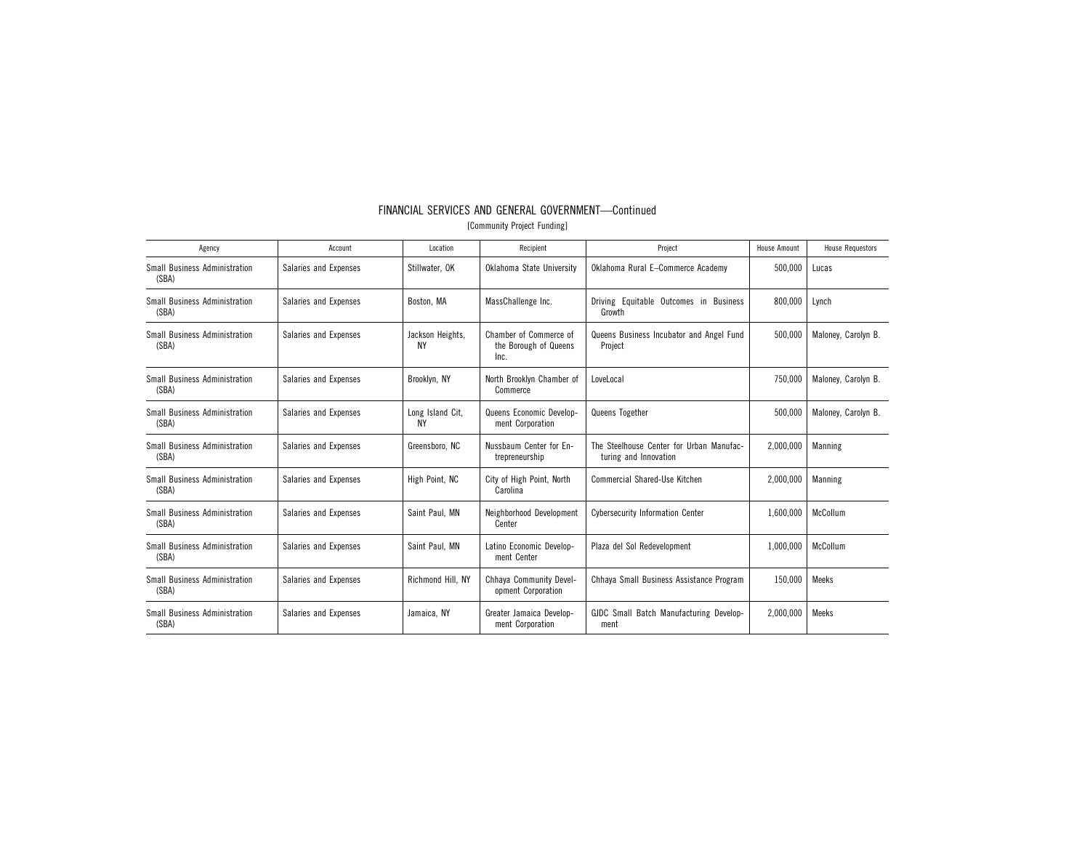| Agency                                        | Account               | Location               | Recipient                                               | Project                                                           | <b>House Amount</b> | <b>House Requestors</b> |
|-----------------------------------------------|-----------------------|------------------------|---------------------------------------------------------|-------------------------------------------------------------------|---------------------|-------------------------|
| <b>Small Business Administration</b><br>(SBA) | Salaries and Expenses | Stillwater, OK         | Oklahoma State University                               | Oklahoma Rural E-Commerce Academy                                 | 500,000             | Lucas                   |
| Small Business Administration<br>(SBA)        | Salaries and Expenses | Boston, MA             | MassChallenge Inc.                                      | Driving Equitable Outcomes in Business<br>Growth                  | 800,000             | Lynch                   |
| Small Business Administration<br>(SBA)        | Salaries and Expenses | Jackson Heights,<br>ΝY | Chamber of Commerce of<br>the Borough of Queens<br>Inc. | Queens Business Incubator and Angel Fund<br>Project               | 500,000             | Maloney, Carolyn B.     |
| Small Business Administration<br>(SBA)        | Salaries and Expenses | Brooklyn, NY           | North Brooklyn Chamber of<br>Commerce                   | LoveLocal                                                         | 750.000             | Maloney, Carolyn B.     |
| Small Business Administration<br>(SBA)        | Salaries and Expenses | Long Island Cit,<br>ΝY | Queens Economic Develop-<br>ment Corporation            | Queens Together                                                   | 500.000             | Maloney, Carolyn B.     |
| <b>Small Business Administration</b><br>(SBA) | Salaries and Expenses | Greensboro, NC         | Nussbaum Center for En-<br>trepreneurship               | The Steelhouse Center for Urban Manufac-<br>turing and Innovation | 2.000.000           | Manning                 |
| <b>Small Business Administration</b><br>(SBA) | Salaries and Expenses | High Point, NC         | City of High Point, North<br>Carolina                   | <b>Commercial Shared-Use Kitchen</b>                              | 2,000,000           | Manning                 |
| Small Business Administration<br>(SBA)        | Salaries and Expenses | Saint Paul. MN         | Neighborhood Development<br>Center                      | <b>Cybersecurity Information Center</b>                           | 1.600.000           | McCollum                |
| Small Business Administration<br>(SBA)        | Salaries and Expenses | Saint Paul, MN         | Latino Economic Develop-<br>ment Center                 | Plaza del Sol Redevelopment                                       | 1,000,000           | McCollum                |
| <b>Small Business Administration</b><br>(SBA) | Salaries and Expenses | Richmond Hill, NY      | Chhava Community Devel-<br>opment Corporation           | Chhava Small Business Assistance Program                          | 150.000             | <b>Meeks</b>            |
| Small Business Administration<br>(SBA)        | Salaries and Expenses | Jamaica, NY            | Greater Jamaica Develop-<br>ment Corporation            | GJDC Small Batch Manufacturing Develop-<br>ment                   | 2.000.000           | <b>Meeks</b>            |

## FINANCIAL SERVICES AND GENERAL GOVERNMENT—Continued [Community Project Funding]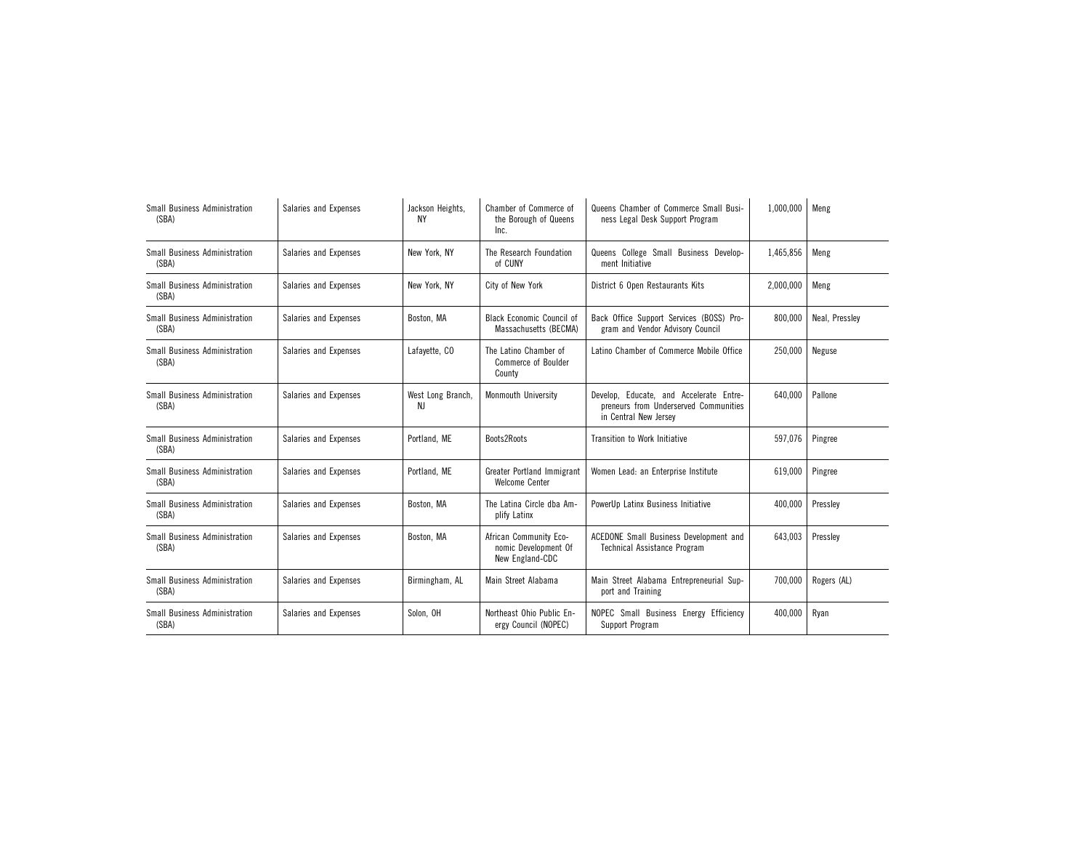| Small Business Administration<br>(SBA)        | Salaries and Expenses | Jackson Heights,<br>NΥ  | Chamber of Commerce of<br>the Borough of Queens<br>Inc.           | Queens Chamber of Commerce Small Busi-<br>ness Legal Desk Support Program                                 | 1,000,000 | Meng           |
|-----------------------------------------------|-----------------------|-------------------------|-------------------------------------------------------------------|-----------------------------------------------------------------------------------------------------------|-----------|----------------|
| Small Business Administration<br>(SBA)        | Salaries and Expenses | New York, NY            | The Research Foundation<br>of CUNY                                | Queens College Small Business Develop-<br>ment Initiative                                                 | 1,465,856 | Meng           |
| <b>Small Business Administration</b><br>(SBA) | Salaries and Expenses | New York, NY            | City of New York                                                  | District 6 Open Restaurants Kits                                                                          | 2,000,000 | Meng           |
| <b>Small Business Administration</b><br>(SBA) | Salaries and Expenses | Boston, MA              | <b>Black Economic Council of</b><br>Massachusetts (BECMA)         | Back Office Support Services (BOSS) Pro-<br>gram and Vendor Advisory Council                              | 800,000   | Neal, Pressley |
| Small Business Administration<br>(SBA)        | Salaries and Expenses | Lafayette, CO           | The Latino Chamber of<br><b>Commerce of Boulder</b><br>County     | Latino Chamber of Commerce Mobile Office                                                                  | 250,000   | Neguse         |
| <b>Small Business Administration</b><br>(SBA) | Salaries and Expenses | West Long Branch,<br>NJ | Monmouth University                                               | Develop. Educate, and Accelerate Entre-<br>preneurs from Underserved Communities<br>in Central New Jersey | 640.000   | Pallone        |
| <b>Small Business Administration</b><br>(SBA) | Salaries and Expenses | Portland, ME            | Boots2Roots                                                       | <b>Transition to Work Initiative</b>                                                                      | 597.076   | Pingree        |
| Small Business Administration<br>(SBA)        | Salaries and Expenses | Portland, ME            | Greater Portland Immigrant<br><b>Welcome Center</b>               | Women Lead: an Enterprise Institute                                                                       | 619,000   | Pingree        |
| <b>Small Business Administration</b><br>(SBA) | Salaries and Expenses | Boston, MA              | The Latina Circle dba Am-<br>plify Latinx                         | PowerUp Latinx Business Initiative                                                                        | 400,000   | Presslev       |
| <b>Small Business Administration</b><br>(SBA) | Salaries and Expenses | Boston, MA              | African Community Eco-<br>nomic Development Of<br>New England-CDC | ACEDONE Small Business Development and<br><b>Technical Assistance Program</b>                             | 643,003   | Pressley       |
| <b>Small Business Administration</b><br>(SBA) | Salaries and Expenses | Birmingham, AL          | Main Street Alabama                                               | Main Street Alabama Entrepreneurial Sup-<br>port and Training                                             | 700.000   | Rogers (AL)    |
| Small Business Administration<br>(SBA)        | Salaries and Expenses | Solon, OH               | Northeast Ohio Public En-<br>ergy Council (NOPEC)                 | NOPEC Small Business Energy Efficiency<br>Support Program                                                 | 400,000   | Ryan           |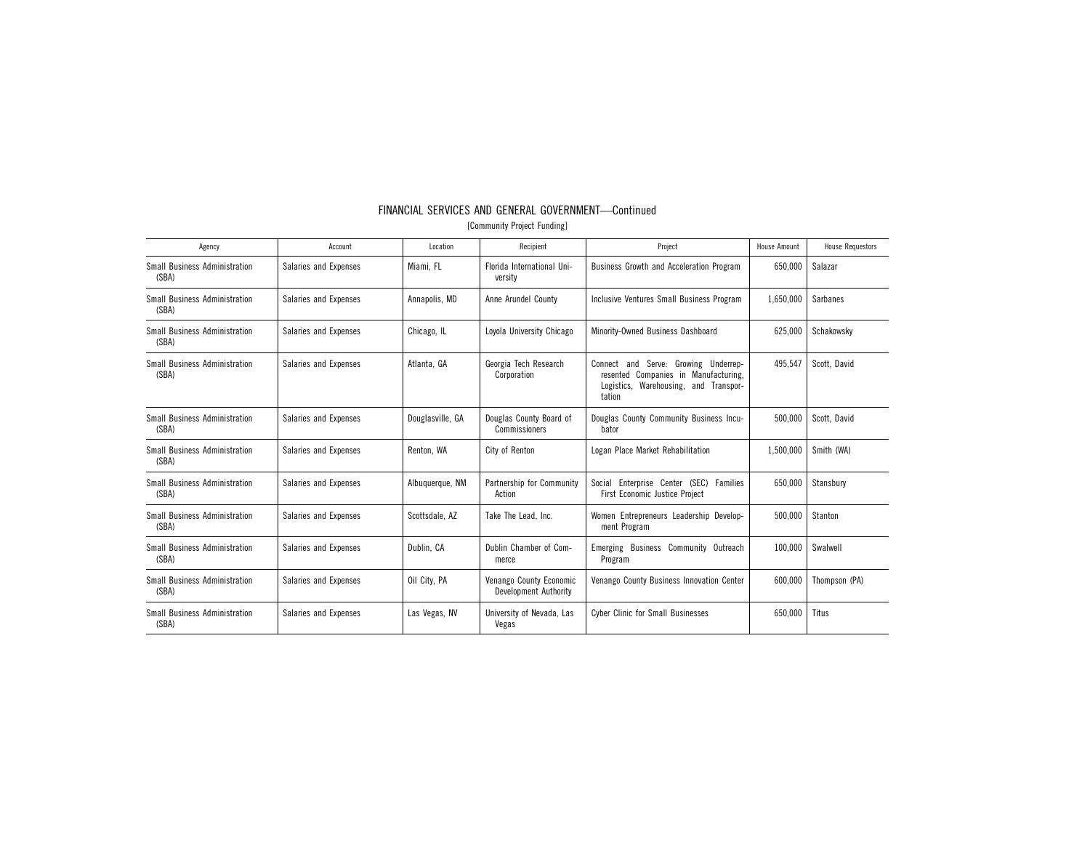| FINANCIAL SERVICES AND GENERAL GOVERNMENT-Continued |  |  |  |  |  |
|-----------------------------------------------------|--|--|--|--|--|
|                                                     |  |  |  |  |  |

[Community Project Funding]

| Agency                                        | Account               | Location         | Recipient                                        | Project                                                                                                                                  | <b>House Amount</b> | <b>House Requestors</b> |
|-----------------------------------------------|-----------------------|------------------|--------------------------------------------------|------------------------------------------------------------------------------------------------------------------------------------------|---------------------|-------------------------|
| Small Business Administration<br>(SBA)        | Salaries and Expenses | Miami. FL        | Florida International Uni-<br>versity            | <b>Business Growth and Acceleration Program</b>                                                                                          | 650,000             | Salazar                 |
| <b>Small Business Administration</b><br>(SBA) | Salaries and Expenses | Annapolis, MD    | Anne Arundel County                              | Inclusive Ventures Small Business Program                                                                                                | 1,650,000           | Sarbanes                |
| <b>Small Business Administration</b><br>(SBA) | Salaries and Expenses | Chicago, IL      | Lovola University Chicago                        | Minority-Owned Business Dashboard                                                                                                        | 625,000             | Schakowsky              |
| <b>Small Business Administration</b><br>(SBA) | Salaries and Expenses | Atlanta, GA      | Georgia Tech Research<br>Corporation             | Serve: Growing Underrep-<br>Connect<br>and<br>Companies in Manufacturing,<br>resented<br>Logistics, Warehousing, and Transpor-<br>tation | 495,547             | Scott, David            |
| Small Business Administration<br>(SBA)        | Salaries and Expenses | Douglasville, GA | Douglas County Board of<br>Commissioners         | Douglas County Community Business Incu-<br>bator                                                                                         | 500,000             | Scott, David            |
| <b>Small Business Administration</b><br>(SBA) | Salaries and Expenses | Renton, WA       | City of Renton                                   | Logan Place Market Rehabilitation                                                                                                        | 1,500,000           | Smith (WA)              |
| Small Business Administration<br>(SBA)        | Salaries and Expenses | Albuquerque, NM  | Partnership for Community<br>Action              | Social Enterprise Center (SEC) Families<br><b>First Economic Justice Project</b>                                                         | 650.000             | Stansbury               |
| Small Business Administration<br>(SBA)        | Salaries and Expenses | Scottsdale, AZ   | Take The Lead. Inc.                              | Women Entrepreneurs Leadership Develop-<br>ment Program                                                                                  | 500.000             | Stanton                 |
| Small Business Administration<br>(SBA)        | Salaries and Expenses | Dublin, CA       | Dublin Chamber of Com-<br>merce                  | Emerging Business Community Outreach<br>Program                                                                                          | 100,000             | Swalwell                |
| <b>Small Business Administration</b><br>(SBA) | Salaries and Expenses | Oil City, PA     | Venango County Economic<br>Development Authority | Venango County Business Innovation Center                                                                                                | 600.000             | Thompson (PA)           |
| <b>Small Business Administration</b><br>(SBA) | Salaries and Expenses | Las Vegas, NV    | University of Nevada, Las<br>Vegas               | <b>Cyber Clinic for Small Businesses</b>                                                                                                 | 650,000             | Titus                   |